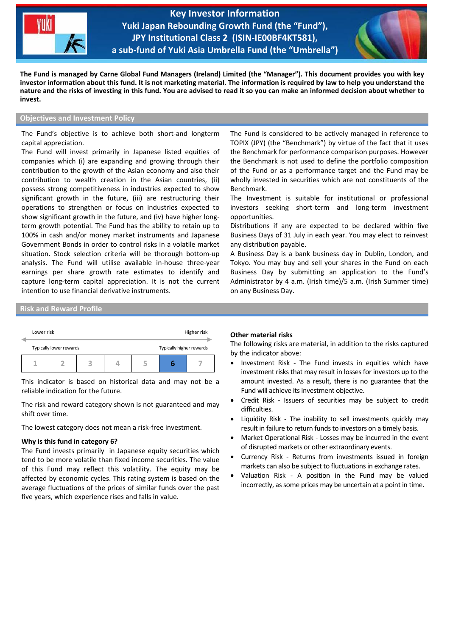

**Key Investor Information Yuki Japan Rebounding Growth Fund (the "Fund"), JPY Institutional Class 2 (ISIN-IE00BF4KT581), a sub-fund of Yuki Asia Umbrella Fund (the "Umbrella")**

֦



**The Fund is managed by Carne Global Fund Managers (Ireland) Limited (the "Manager"). This document provides you with key investor information about this fund. It is not marketing material. The information is required by law to help you understand the nature and the risks of investing in this fund. You are advised to read it so you can make an informed decision about whether to invest.**

# **Objectives and Investment Policy**

The Fund's objective is to achieve both short-and longterm capital appreciation.

The Fund will invest primarily in Japanese listed equities of companies which (i) are expanding and growing through their contribution to the growth of the Asian economy and also their contribution to wealth creation in the Asian countries, (ii) possess strong competitiveness in industries expected to show significant growth in the future, (iii) are restructuring their operations to strengthen or focus on industries expected to show significant growth in the future, and (iv) have higher longterm growth potential. The Fund has the ability to retain up to 100% in cash and/or money market instruments and Japanese Government Bonds in order to control risks in a volatile market situation. Stock selection criteria will be thorough bottom-up analysis. The Fund will utilise available in-house three-year earnings per share growth rate estimates to identify and capture long-term capital appreciation. It is not the current intention to use financial derivative instruments.

The Fund is considered to be actively managed in reference to TOPIX (JPY) (the "Benchmark") by virtue of the fact that it uses the Benchmark for performance comparison purposes. However the Benchmark is not used to define the portfolio composition of the Fund or as a performance target and the Fund may be wholly invested in securities which are not constituents of the Benchmark.

The Investment is suitable for institutional or professional investors seeking short-term and long-term investment opportunities.

Distributions if any are expected to be declared within five Business Days of 31 July in each year. You may elect to reinvest any distribution payable.

A Business Day is a bank business day in Dublin, London, and Tokyo. You may buy and sell your shares in the Fund on each Business Day by submitting an application to the Fund's Administrator by 4 a.m. (Irish time)/5 a.m. (Irish Summer time) on any Business Day.

# **Risk and Reward Profile**

|  | Lower risk              |  |   |  |  | Higher risk              |  |
|--|-------------------------|--|---|--|--|--------------------------|--|
|  | Typically lower rewards |  |   |  |  | Typically higher rewards |  |
|  |                         |  | 3 |  |  |                          |  |

This indicator is based on historical data and may not be a reliable indication for the future.

The risk and reward category shown is not guaranteed and may shift over time.

The lowest category does not mean a risk-free investment.

### **Why is this fund in category 6?**

The Fund invests primarily in Japanese equity securities which tend to be more volatile than fixed income securities. The value of this Fund may reflect this volatility. The equity may be affected by economic cycles. This rating system is based on the average fluctuations of the prices of similar funds over the past five years, which experience rises and falls in value.

#### **Other material risks**

The following risks are material, in addition to the risks captured by the indicator above:

- Investment Risk The Fund invests in equities which have investment risks that may result in losses for investors up to the amount invested. As a result, there is no guarantee that the Fund will achieve its investment objective.
- Credit Risk Issuers of securities may be subject to credit difficulties.
- Liquidity Risk The inability to sell investments quickly may result in failure to return funds to investors on a timely basis.
- Market Operational Risk Losses may be incurred in the event of disrupted markets or other extraordinary events.
- Currency Risk Returns from investments issued in foreign markets can also be subject to fluctuations in exchange rates.
- Valuation Risk A position in the Fund may be valued incorrectly, as some prices may be uncertain at a point in time.